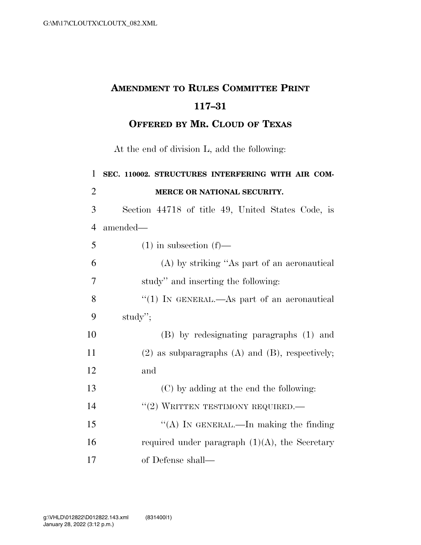## **AMENDMENT TO RULES COMMITTEE PRINT 117–31**

**OFFERED BY MR. CLOUD OF TEXAS**

At the end of division L, add the following:

| $\mathbf{1}$   | SEC. 110002. STRUCTURES INTERFERING WITH AIR COM-      |
|----------------|--------------------------------------------------------|
| $\overline{2}$ | MERCE OR NATIONAL SECURITY.                            |
| 3              | Section 44718 of title 49, United States Code, is      |
| $\overline{4}$ | amended—                                               |
| 5              | $(1)$ in subsection $(f)$ —                            |
| 6              | (A) by striking "As part of an aeronautical            |
| 7              | study" and inserting the following:                    |
| 8              | "(1) IN GENERAL.—As part of an aeronautical            |
| 9              | study";                                                |
| 10             | (B) by redesignating paragraphs (1) and                |
| 11             | $(2)$ as subparagraphs $(A)$ and $(B)$ , respectively; |
| 12             | and                                                    |
| 13             | (C) by adding at the end the following:                |
| 14             | "(2) WRITTEN TESTIMONY REQUIRED.                       |
| 15             | "(A) IN GENERAL.—In making the finding                 |
| 16             | required under paragraph $(1)(A)$ , the Secretary      |
| 17             | of Defense shall—                                      |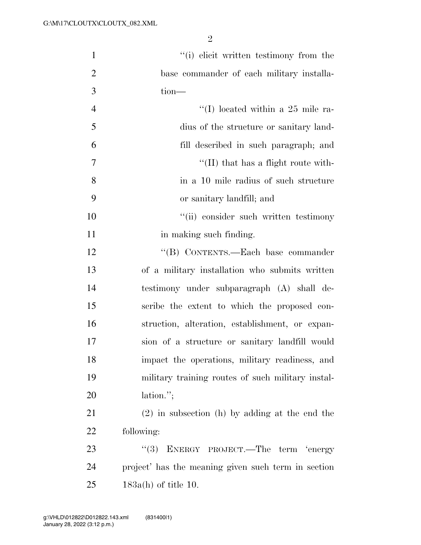| $\mathbf{1}$   | "(i) elicit written testimony from the              |
|----------------|-----------------------------------------------------|
| $\overline{2}$ | base commander of each military installa-           |
| 3              | $tion$ —                                            |
| $\overline{4}$ | "(I) located within a 25 mile ra-                   |
| 5              | dius of the structure or sanitary land-             |
| 6              | fill described in such paragraph; and               |
| 7              | $\lq\lq$ (II) that has a flight route with-         |
| 8              | in a 10 mile radius of such structure               |
| 9              | or sanitary landfill; and                           |
| 10             | "(ii) consider such written testimony               |
| 11             | in making such finding.                             |
| 12             | "(B) CONTENTS.—Each base commander                  |
| 13             | of a military installation who submits written      |
| 14             | testimony under subparagraph (A) shall de-          |
| 15             | scribe the extent to which the proposed con-        |
| 16             | struction, alteration, establishment, or expan-     |
| 17             | sion of a structure or sanitary landfill would      |
| 18             | impact the operations, military readiness, and      |
| 19             | military training routes of such military instal-   |
| 20             | $lation.$ ";                                        |
| 21             | $(2)$ in subsection (h) by adding at the end the    |
| 22             | following:                                          |
| 23             | ENERGY PROJECT.—The term 'energy<br>(3)             |
| 24             | project' has the meaning given such term in section |
| 25             | $183a(h)$ of title 10.                              |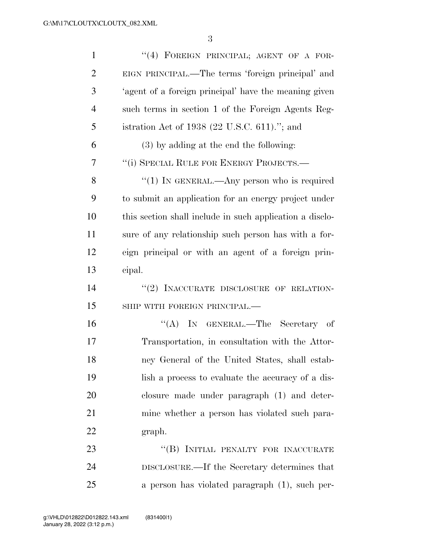| $\mathbf{1}$   | "(4) FOREIGN PRINCIPAL; AGENT OF A FOR-                  |
|----------------|----------------------------------------------------------|
| $\overline{2}$ | EIGN PRINCIPAL.—The terms 'foreign principal' and        |
| 3              | 'agent of a foreign principal' have the meaning given    |
| $\overline{4}$ | such terms in section 1 of the Foreign Agents Reg-       |
| 5              | istration Act of 1938 (22 U.S.C. 611)."; and             |
| 6              | (3) by adding at the end the following:                  |
| 7              | "(i) SPECIAL RULE FOR ENERGY PROJECTS.-                  |
| 8              | " $(1)$ IN GENERAL.—Any person who is required           |
| 9              | to submit an application for an energy project under     |
| 10             | this section shall include in such application a disclo- |
| 11             | sure of any relationship such person has with a for-     |
| 12             | eign principal or with an agent of a foreign prin-       |
| 13             | cipal.                                                   |
| 14             | "(2) INACCURATE DISCLOSURE OF RELATION-                  |
| 15             | SHIP WITH FOREIGN PRINCIPAL.-                            |
| 16             | "(A) IN GENERAL.—The Secretary of                        |
| 17             | Transportation, in consultation with the Attor-          |
| 18             | ney General of the United States, shall estab-           |
| 19             | lish a process to evaluate the accuracy of a dis-        |
| 20             | closure made under paragraph (1) and deter-              |
| 21             | mine whether a person has violated such para-            |
| 22             | graph.                                                   |
| 23             | "(B) INITIAL PENALTY FOR INACCURATE                      |
| 24             | DISCLOSURE.—If the Secretary determines that             |
| 25             | a person has violated paragraph (1), such per-           |